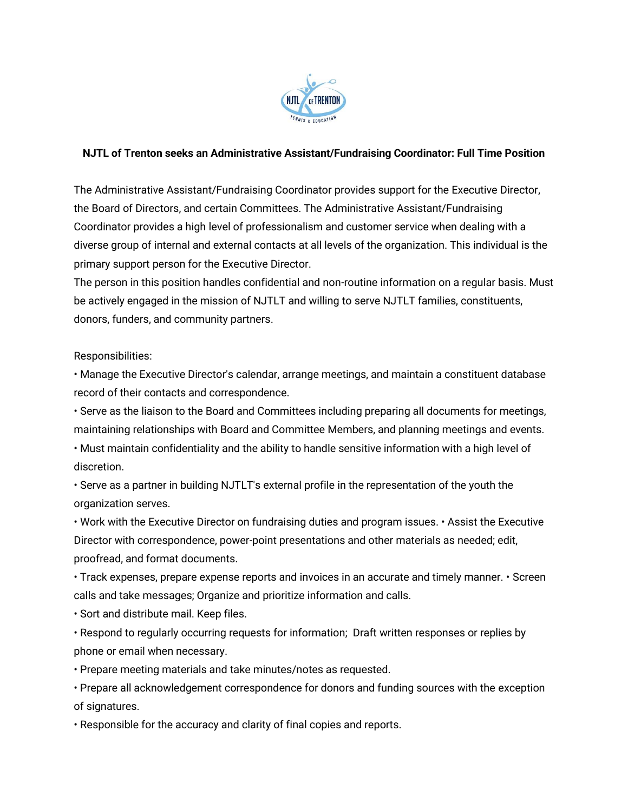

## **NJTL of Trenton seeks an Administrative Assistant/Fundraising Coordinator: Full Time Position**

The Administrative Assistant/Fundraising Coordinator provides support for the Executive Director, the Board of Directors, and certain Committees. The Administrative Assistant/Fundraising Coordinator provides a high level of professionalism and customer service when dealing with a diverse group of internal and external contacts at all levels of the organization. This individual is the primary support person for the Executive Director.

The person in this position handles confidential and non-routine information on a regular basis. Must be actively engaged in the mission of NJTLT and willing to serve NJTLT families, constituents, donors, funders, and community partners.

Responsibilities:

• Manage the Executive Director's calendar, arrange meetings, and maintain a constituent database record of their contacts and correspondence.

• Serve as the liaison to the Board and Committees including preparing all documents for meetings, maintaining relationships with Board and Committee Members, and planning meetings and events.

• Must maintain confidentiality and the ability to handle sensitive information with a high level of discretion.

• Serve as a partner in building NJTLT's external profile in the representation of the youth the organization serves.

• Work with the Executive Director on fundraising duties and program issues. • Assist the Executive Director with correspondence, power-point presentations and other materials as needed; edit, proofread, and format documents.

• Track expenses, prepare expense reports and invoices in an accurate and timely manner. • Screen calls and take messages; Organize and prioritize information and calls.

• Sort and distribute mail. Keep files.

• Respond to regularly occurring requests for information; Draft written responses or replies by phone or email when necessary.

• Prepare meeting materials and take minutes/notes as requested.

• Prepare all acknowledgement correspondence for donors and funding sources with the exception of signatures.

• Responsible for the accuracy and clarity of final copies and reports.